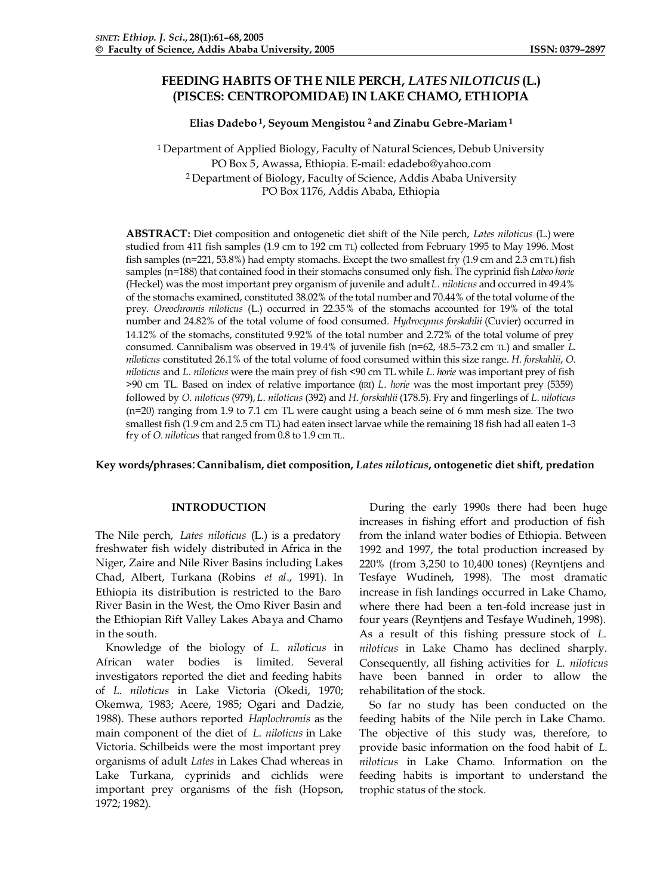# **FEEDING HABITS OF THE NILE PERCH,** *LATES NILOTICUS* **(L.) (PISCES: CENTROPOMIDAE) IN LAKE CHAMO, ETHIOPIA**

### **Elias Dadebo <sup>1</sup>, Seyoum Mengistou <sup>2</sup>and Zinabu Gebre-Mariam <sup>1</sup>**

<sup>1</sup> Department of Applied Biology, Faculty of Natural Sciences, Debub University PO Box 5, Awassa, Ethiopia. E-mail: edadebo@yahoo.com <sup>2</sup> Department of Biology, Faculty of Science, Addis Ababa University PO Box 1176, Addis Ababa, Ethiopia

**ABSTRACT:** Diet composition and ontogenetic diet shift of the Nile perch, *Lates niloticus* (L.) were studied from 411 fish samples (1.9 cm to 192 cm TL) collected from February 1995 to May 1996. Most fish samples (n=221, 53.8%) had empty stomachs. Except the two smallest fry (1.9 cm and 2.3 cm TL) fish samples (n=188) that contained food in their stomachs consumed only fish. The cyprinid fish *Labeo horie* (Heckel) was the most important prey organism of juvenile and adult *L*. *niloticus* and occurred in 49.4% of the stomachs examined, constituted 38.02% of the total number and 70.44% of the total volume of the prey. *Oreochromis niloticus* (L.) occurred in 22.35% of the stomachs accounted for 19% of the total number and 24.82% of the total volume of food consumed. *Hydrocynus forskahlii* (Cuvier) occurred in 14.12% of the stomachs, constituted 9.92% of the total number and 2.72% of the total volume of prey consumed. Cannibalism was observed in 19.4% of juvenile fish (n=62, 48.5–73.2 cm TL) and smaller *L*. *niloticus* constituted 26.1% of the total volume of food consumed within this size range. *H*. *forskahlii*, *O*. *niloticus* and *L*. *niloticus* were the main prey of fish <90 cm TL while *L*. *horie* was important prey of fish >90 cm TL. Based on index of relative importance (IRI) *L*. *horie* was the most important prey (5359) followed by *O*. *niloticus* (979), *L*. *niloticus* (392) and *H*. *forskahlii* (178.5). Fry and fingerlings of *L*. *niloticus* (n=20) ranging from 1.9 to 7.1 cm TL were caught using a beach seine of 6 mm mesh size. The two smallest fish (1.9 cm and 2.5 cm TL) had eaten insect larvae while the remaining 18 fish had all eaten 1–3 fry of *O*. *niloticus* that ranged from 0.8 to 1.9 cm TL.

## **Key words/phrases**:**Cannibalism, diet composition,** *Lates niloticus***, ontogenetic diet shift, predation**

## **INTRODUCTION**

The Nile perch, *Lates niloticus* (L.) is a predatory freshwater fish widely distributed in Africa in the Niger, Zaire and Nile River Basins including Lakes Chad, Albert, Turkana (Robins *et al*., 1991). In Ethiopia its distribution is restricted to the Baro River Basin in the West, the Omo River Basin and the Ethiopian Rift Valley Lakes Abaya and Chamo in the south.

Knowledge of the biology of *L*. *niloticus* in African water bodies is limited. Several investigators reported the diet and feeding habits of *L*. *niloticus* in Lake Victoria (Okedi, 1970; Okemwa, 1983; Acere, 1985; Ogari and Dadzie, 1988). These authors reported *Haplochromis* as the main component of the diet of *L*. *niloticus* in Lake Victoria. Schilbeids were the most important prey organisms of adult *Lates* in Lakes Chad whereas in Lake Turkana, cyprinids and cichlids were important prey organisms of the fish (Hopson, 1972; 1982).

During the early 1990s there had been huge increases in fishing effort and production of fish from the inland water bodies of Ethiopia. Between 1992 and 1997, the total production increased by 220% (from 3,250 to 10,400 tones) (Reyntjens and Tesfaye Wudineh, 1998). The most dramatic increase in fish landings occurred in Lake Chamo, where there had been a ten-fold increase just in four years (Reyntjens and Tesfaye Wudineh, 1998). As a result of this fishing pressure stock of *L*. *niloticus* in Lake Chamo has declined sharply. Consequently, all fishing activities for *L*. *niloticus* have been banned in order to allow the rehabilitation of the stock.

So far no study has been conducted on the feeding habits of the Nile perch in Lake Chamo. The objective of this study was, therefore, to provide basic information on the food habit of *L*. *niloticus* in Lake Chamo. Information on the feeding habits is important to understand the trophic status of the stock.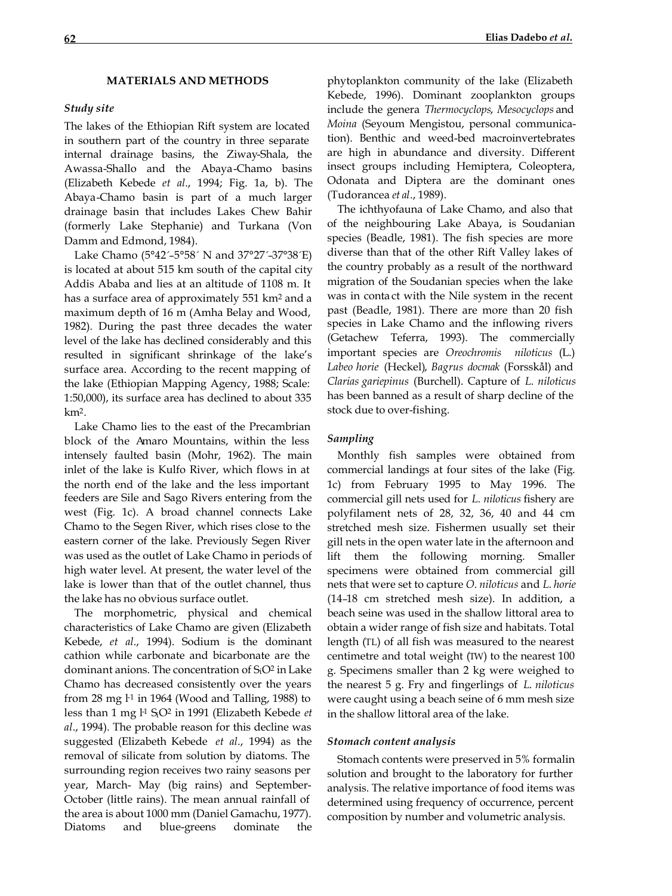### **MATERIALS AND METHODS**

# *Study site*

The lakes of the Ethiopian Rift system are located in southern part of the country in three separate internal drainage basins, the Ziway-Shala, the Awassa-Shallo and the Abaya-Chamo basins (Elizabeth Kebede *et al*., 1994; Fig. 1a, b). The Abaya-Chamo basin is part of a much larger drainage basin that includes Lakes Chew Bahir (formerly Lake Stephanie) and Turkana (Von Damm and Edmond, 1984).

Lake Chamo (5°42´–5°58´ N and 37°27´–37°38´E) is located at about 515 km south of the capital city Addis Ababa and lies at an altitude of 1108 m. It has a surface area of approximately 551 km2 and a maximum depth of 16 m (Amha Belay and Wood, 1982). During the past three decades the water level of the lake has declined considerably and this resulted in significant shrinkage of the lake's surface area. According to the recent mapping of the lake (Ethiopian Mapping Agency, 1988; Scale: 1:50,000), its surface area has declined to about 335 km2.

Lake Chamo lies to the east of the Precambrian block of the Amaro Mountains, within the less intensely faulted basin (Mohr, 1962). The main inlet of the lake is Kulfo River, which flows in at the north end of the lake and the less important feeders are Sile and Sago Rivers entering from the west (Fig. 1c). A broad channel connects Lake Chamo to the Segen River, which rises close to the eastern corner of the lake. Previously Segen River was used as the outlet of Lake Chamo in periods of high water level. At present, the water level of the lake is lower than that of the outlet channel, thus the lake has no obvious surface outlet.

The morphometric, physical and chemical characteristics of Lake Chamo are given (Elizabeth Kebede, *et al*., 1994). Sodium is the dominant cathion while carbonate and bicarbonate are the dominant anions. The concentration of SiO2 in Lake Chamo has decreased consistently over the years from 28 mg  $l<sup>1</sup>$  in 1964 (Wood and Talling, 1988) to less than 1 mg l-1 SiO2 in 1991 (Elizabeth Kebede *et al*., 1994). The probable reason for this decline was suggested (Elizabeth Kebede *et al*., 1994) as the removal of silicate from solution by diatoms. The surrounding region receives two rainy seasons per year, March- May (big rains) and September-October (little rains). The mean annual rainfall of the area is about 1000 mm (Daniel Gamachu, 1977). Diatoms and blue-greens dominate the phytoplankton community of the lake (Elizabeth Kebede, 1996). Dominant zooplankton groups include the genera *Thermocyclops*, *Mesocyclops* and *Moina* (Seyoum Mengistou, personal communication). Benthic and weed-bed macroinvertebrates are high in abundance and diversity. Different insect groups including Hemiptera, Coleoptera, Odonata and Diptera are the dominant ones (Tudorancea *et al*., 1989).

The ichthyofauna of Lake Chamo, and also that of the neighbouring Lake Abaya, is Soudanian species (Beadle, 1981). The fish species are more diverse than that of the other Rift Valley lakes of the country probably as a result of the northward migration of the Soudanian species when the lake was in conta ct with the Nile system in the recent past (Beadle, 1981). There are more than 20 fish species in Lake Chamo and the inflowing rivers (Getachew Teferra, 1993). The commercially important species are *Oreochromis niloticus* (L.) *Labeo horie* (Heckel), *Bagrus docmak* (Forsskål) and *Clarias gariepinus* (Burchell). Capture of *L*. *niloticus* has been banned as a result of sharp decline of the stock due to over-fishing.

# *Sampling*

Monthly fish samples were obtained from commercial landings at four sites of the lake (Fig. 1c) from February 1995 to May 1996. The commercial gill nets used for *L*. *niloticus* fishery are polyfilament nets of 28, 32, 36, 40 and 44 cm stretched mesh size. Fishermen usually set their gill nets in the open water late in the afternoon and lift them the following morning. Smaller specimens were obtained from commercial gill nets that were set to capture *O*. *niloticus* and *L*. *horie* (14–18 cm stretched mesh size). In addition, a beach seine was used in the shallow littoral area to obtain a wider range of fish size and habitats. Total length (TL) of all fish was measured to the nearest centimetre and total weight (TW) to the nearest 100 g. Specimens smaller than 2 kg were weighed to the nearest 5 g. Fry and fingerlings of *L*. *niloticus*  were caught using a beach seine of 6 mm mesh size in the shallow littoral area of the lake.

#### *Stomach content analysis*

Stomach contents were preserved in 5% formalin solution and brought to the laboratory for further analysis. The relative importance of food items was determined using frequency of occurrence, percent composition by number and volumetric analysis.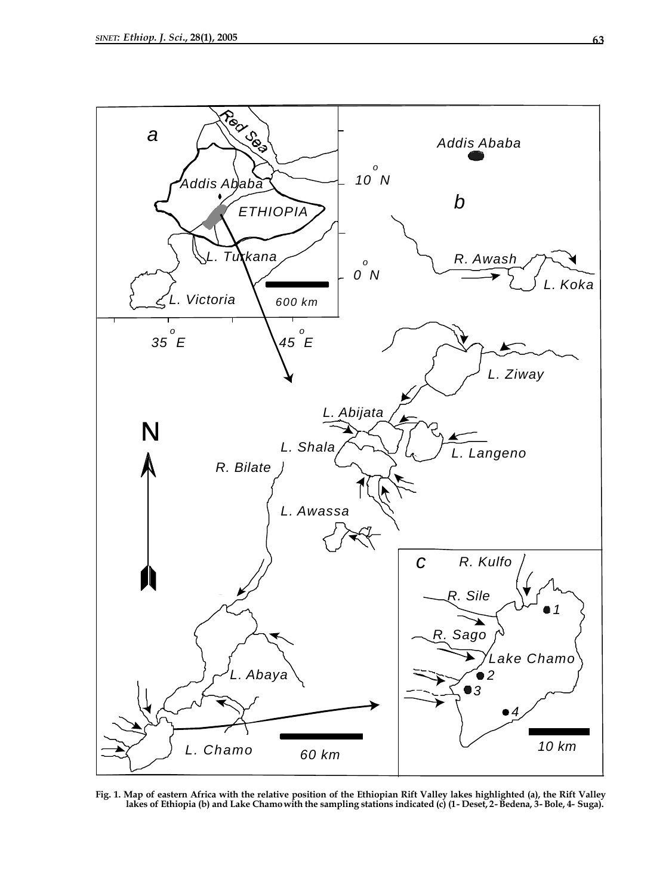

**Fig. 1. Map of eastern Africa with the relative position of the Ethiopian Rift Valley lakes highlighted (a), the Rift Valley lakes of Ethiopia (b) and Lake Chamo with the sampling stations indicated (c) (1- Deset, 2- Bedena, 3- Bole, 4- Suga).**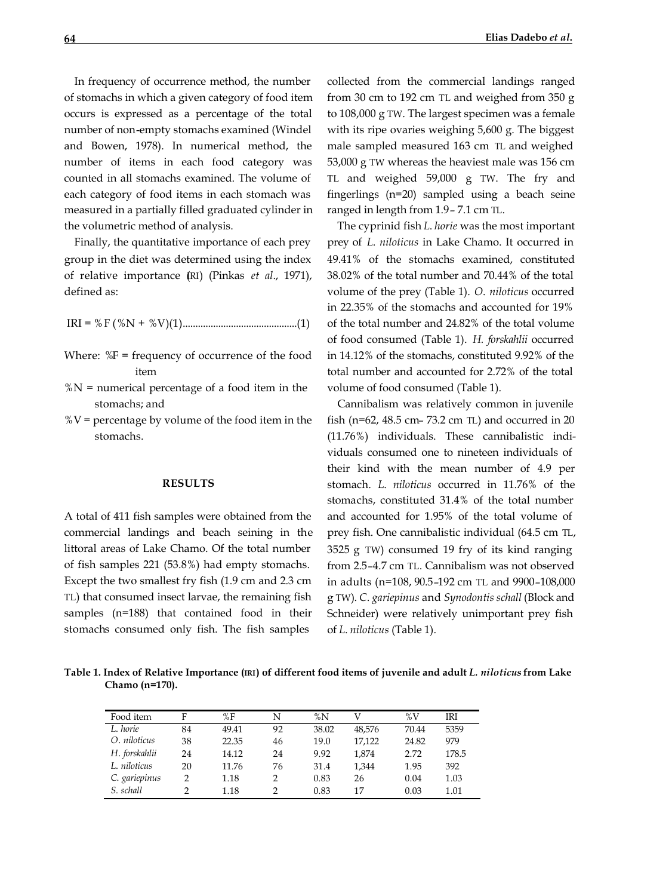In frequency of occurrence method, the number of stomachs in which a given category of food item occurs is expressed as a percentage of the total number of non-empty stomachs examined (Windel and Bowen, 1978). In numerical method, the number of items in each food category was counted in all stomachs examined. The volume of each category of food items in each stomach was measured in a partially filled graduated cylinder in the volumetric method of analysis.

Finally, the quantitative importance of each prey group in the diet was determined using the index of relative importance (IRI) (Pinkas *et al*., 1971), defined as:

IRI = %F (%N + %V)(1).............................................(1)

- Where: %F = frequency of occurrence of the food item
- $%N =$  numerical percentage of a food item in the stomachs; and
- $\%V$  = percentage by volume of the food item in the stomachs.

### **RESULTS**

A total of 411 fish samples were obtained from the commercial landings and beach seining in the littoral areas of Lake Chamo. Of the total number of fish samples 221 (53.8%) had empty stomachs. Except the two smallest fry fish (1.9 cm and 2.3 cm TL) that consumed insect larvae, the remaining fish samples (n=188) that contained food in their stomachs consumed only fish. The fish samples

collected from the commercial landings ranged from 30 cm to 192 cm TL and weighed from 350 g to 108,000 g TW. The largest specimen was a female with its ripe ovaries weighing 5,600 g. The biggest male sampled measured 163 cm TL and weighed 53,000 g TW whereas the heaviest male was 156 cm TL and weighed 59,000 g TW. The fry and fingerlings (n=20) sampled using a beach seine ranged in length from 1.9– 7.1 cm TL.

The cyprinid fish *L*. *horie* was the most important prey of *L*. *niloticus* in Lake Chamo. It occurred in 49.41% of the stomachs examined, constituted 38.02% of the total number and 70.44% of the total volume of the prey (Table 1). *O*. *niloticus* occurred in 22.35% of the stomachs and accounted for 19% of the total number and 24.82% of the total volume of food consumed (Table 1). *H. forskahlii* occurred in 14.12% of the stomachs, constituted 9.92% of the total number and accounted for 2.72% of the total volume of food consumed (Table 1).

Cannibalism was relatively common in juvenile fish (n=62, 48.5 cm– 73.2 cm TL) and occurred in 20 (11.76%) individuals. These cannibalistic individuals consumed one to nineteen individuals of their kind with the mean number of 4.9 per stomach. *L*. *niloticus* occurred in 11.76% of the stomachs, constituted 31.4% of the total number and accounted for 1.95% of the total volume of prey fish. One cannibalistic individual (64.5 cm TL, 3525 g TW) consumed 19 fry of its kind ranging from 2.5–4.7 cm TL. Cannibalism was not observed in adults (n=108, 90.5–192 cm TL and 9900–108,000 g TW). *C*. *gariepinus* and *Synodontis schall* (Block and Schneider) were relatively unimportant prey fish of *L*. *niloticus* (Table 1).

**Table 1. Index of Relative Importance (IRI) of different food items of juvenile and adult** *L. niloticus* **from Lake Chamo (n=170).**

| Food item     | F  | %F    | N             | $\%N$ |        | $\%$ V | IRI   |
|---------------|----|-------|---------------|-------|--------|--------|-------|
| L. horie      | 84 | 49.41 | 92            | 38.02 | 48,576 | 70.44  | 5359  |
| O. niloticus  | 38 | 22.35 | 46            | 19.0  | 17.122 | 24.82  | 979   |
| H. forskahlii | 24 | 14.12 | 24            | 9.92  | 1.874  | 2.72   | 178.5 |
| L. niloticus  | 20 | 11.76 | 76            | 31.4  | 1.344  | 1.95   | 392   |
| C. gariepinus | っ  | 1.18  | $\mathcal{P}$ | 0.83  | 26     | 0.04   | 1.03  |
| S. schall     |    | 1.18  |               | 0.83  | 17     | 0.03   | 1.01  |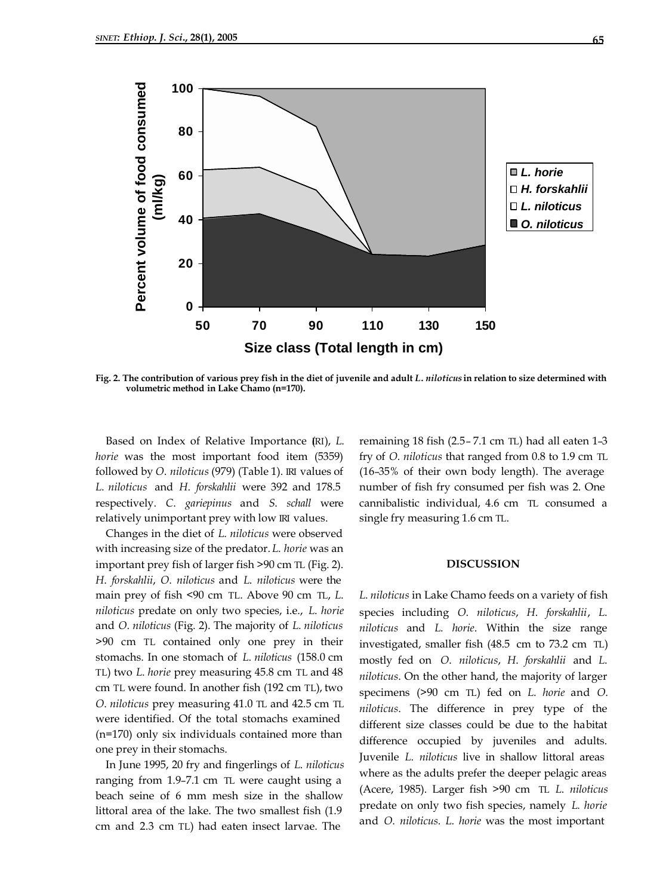

**Fig. 2. The contribution of various prey fish in the diet of juvenile and adult** *L***.** *niloticus* **in relation to size determined with volumetric method in Lake Chamo (n=170).**

Based on Index of Relative Importance (RI), *L*. *horie* was the most important food item (5359) followed by *O*. *niloticus* (979) (Table 1). IRI values of *L*. *niloticus* and *H*. *forskahlii* were 392 and 178.5 respectively. *C*. *gariepinus* and *S*. *schall* were relatively unimportant prey with low IRI values.

Changes in the diet of *L*. *niloticus* were observed with increasing size of the predator. *L*. *horie* was an important prey fish of larger fish >90 cm TL (Fig. 2). *H*. *forskahlii*, *O*. *niloticus* and *L*. *niloticus* were the main prey of fish <90 cm TL. Above 90 cm TL, *L*. *niloticus* predate on only two species, i.e., *L*. *horie* and *O*. *niloticus* (Fig. 2). The majority of *L*. *niloticus*  >90 cm TL contained only one prey in their stomachs. In one stomach of *L*. *niloticus* (158.0 cm TL) two *L*. *horie* prey measuring 45.8 cm TL and 48 cm TL were found. In another fish (192 cm TL), two *O*. *niloticus* prey measuring 41.0 TL and 42.5 cm TL were identified. Of the total stomachs examined (n=170) only six individuals contained more than one prey in their stomachs.

In June 1995, 20 fry and fingerlings of *L*. *niloticus* ranging from 1.9–7.1 cm TL were caught using a beach seine of 6 mm mesh size in the shallow littoral area of the lake. The two smallest fish (1.9 cm and 2.3 cm TL) had eaten insect larvae. The

remaining 18 fish (2.5– 7.1 cm TL) had all eaten 1–3 fry of *O*. *niloticus* that ranged from 0.8 to 1.9 cm TL (16–35% of their own body length). The average number of fish fry consumed per fish was 2. One cannibalistic individual, 4.6 cm TL consumed a single fry measuring 1.6 cm TL.

#### **DISCUSSION**

*L*. *niloticus* in Lake Chamo feeds on a variety of fish species including *O*. *niloticus*, *H*. *forskahlii*, *L*. *niloticus* and *L*. *horie*. Within the size range investigated, smaller fish (48.5 cm to 73.2 cm TL) mostly fed on *O*. *niloticus*, *H*. *forskahlii* and *L*. *niloticus*. On the other hand, the majority of larger specimens (>90 cm TL) fed on *L*. *horie* and *O*. *niloticus*. The difference in prey type of the different size classes could be due to the habitat difference occupied by juveniles and adults. Juvenile *L*. *niloticus* live in shallow littoral areas where as the adults prefer the deeper pelagic areas (Acere, 1985). Larger fish >90 cm TL *L*. *niloticus* predate on only two fish species, namely *L. horie* and *O*. *niloticus*. *L*. *horie* was the most important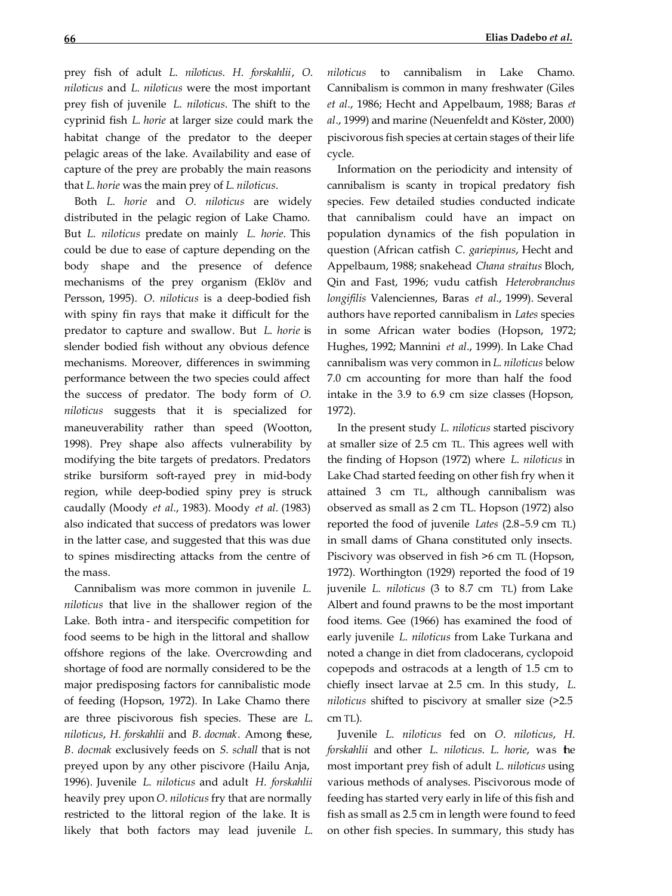prey fish of adult *L*. *niloticus*. *H*. *forskahlii*, *O*. *niloticus* and *L*. *niloticus* were the most important prey fish of juvenile *L*. *niloticus*. The shift to the cyprinid fish *L*. *horie* at larger size could mark the habitat change of the predator to the deeper pelagic areas of the lake. Availability and ease of capture of the prey are probably the main reasons that *L*. *horie* was the main prey of *L*. *niloticus*.

Both *L*. *horie* and *O*. *niloticus* are widely distributed in the pelagic region of Lake Chamo. But *L*. *niloticus* predate on mainly *L*. *horie*. This could be due to ease of capture depending on the body shape and the presence of defence mechanisms of the prey organism (Eklöv and Persson, 1995). *O*. *niloticus* is a deep-bodied fish with spiny fin rays that make it difficult for the predator to capture and swallow. But *L*. *horie* is slender bodied fish without any obvious defence mechanisms. Moreover, differences in swimming performance between the two species could affect the success of predator. The body form of *O*. *niloticus* suggests that it is specialized for maneuverability rather than speed (Wootton, 1998). Prey shape also affects vulnerability by modifying the bite targets of predators. Predators strike bursiform soft-rayed prey in mid-body region, while deep-bodied spiny prey is struck caudally (Moody *et al*., 1983). Moody *et al*. (1983) also indicated that success of predators was lower in the latter case, and suggested that this was due to spines misdirecting attacks from the centre of the mass.

Cannibalism was more common in juvenile *L*. *niloticus* that live in the shallower region of the Lake. Both intra - and iterspecific competition for food seems to be high in the littoral and shallow offshore regions of the lake. Overcrowding and shortage of food are normally considered to be the major predisposing factors for cannibalistic mode of feeding (Hopson, 1972). In Lake Chamo there are three piscivorous fish species. These are *L*. *niloticus*, *H*. *forskahlii* and *B*. *docmak*. Among these, *B*. *docmak* exclusively feeds on *S*. *schall* that is not preyed upon by any other piscivore (Hailu Anja, 1996). Juvenile *L*. *niloticus* and adult *H*. *forskahlii* heavily prey upon *O*. *niloticus* fry that are normally restricted to the littoral region of the lake. It is likely that both factors may lead juvenile *L*. *niloticus* to cannibalism in Lake Chamo. Cannibalism is common in many freshwater (Giles *et al*., 1986; Hecht and Appelbaum, 1988; Baras *et al*., 1999) and marine (Neuenfeldt and Köster, 2000) piscivorous fish species at certain stages of their life cycle.

Information on the periodicity and intensity of cannibalism is scanty in tropical predatory fish species. Few detailed studies conducted indicate that cannibalism could have an impact on population dynamics of the fish population in question (African catfish *C*. *gariepinus*, Hecht and Appelbaum, 1988; snakehead *Chana straitus* Bloch, Qin and Fast, 1996; vudu catfish *Heterobranchus longifilis* Valenciennes, Baras *et al*., 1999). Several authors have reported cannibalism in *Lates* species in some African water bodies (Hopson, 1972; Hughes, 1992; Mannini *et al*., 1999). In Lake Chad cannibalism was very common in *L*. *niloticus* below 7.0 cm accounting for more than half the food intake in the 3.9 to 6.9 cm size classes (Hopson, 1972).

In the present study *L*. *niloticus* started piscivory at smaller size of 2.5 cm TL. This agrees well with the finding of Hopson (1972) where *L*. *niloticus* in Lake Chad started feeding on other fish fry when it attained 3 cm TL, although cannibalism was observed as small as 2 cm TL. Hopson (1972) also reported the food of juvenile *Lates* (2.8–5.9 cm TL) in small dams of Ghana constituted only insects. Piscivory was observed in fish >6 cm TL (Hopson, 1972). Worthington (1929) reported the food of 19 juvenile *L*. *niloticus* (3 to 8.7 cm TL) from Lake Albert and found prawns to be the most important food items. Gee (1966) has examined the food of early juvenile *L*. *niloticus* from Lake Turkana and noted a change in diet from cladocerans, cyclopoid copepods and ostracods at a length of 1.5 cm to chiefly insect larvae at 2.5 cm. In this study, *L*. *niloticus* shifted to piscivory at smaller size (>2.5 cm TL).

Juvenile *L*. *niloticus* fed on *O*. *niloticus*, *H*. *forskahlii* and other *L*. *niloticus*. *L*. *horie*, was the most important prey fish of adult *L*. *niloticus* using various methods of analyses. Piscivorous mode of feeding has started very early in life of this fish and fish as small as 2.5 cm in length were found to feed on other fish species. In summary, this study has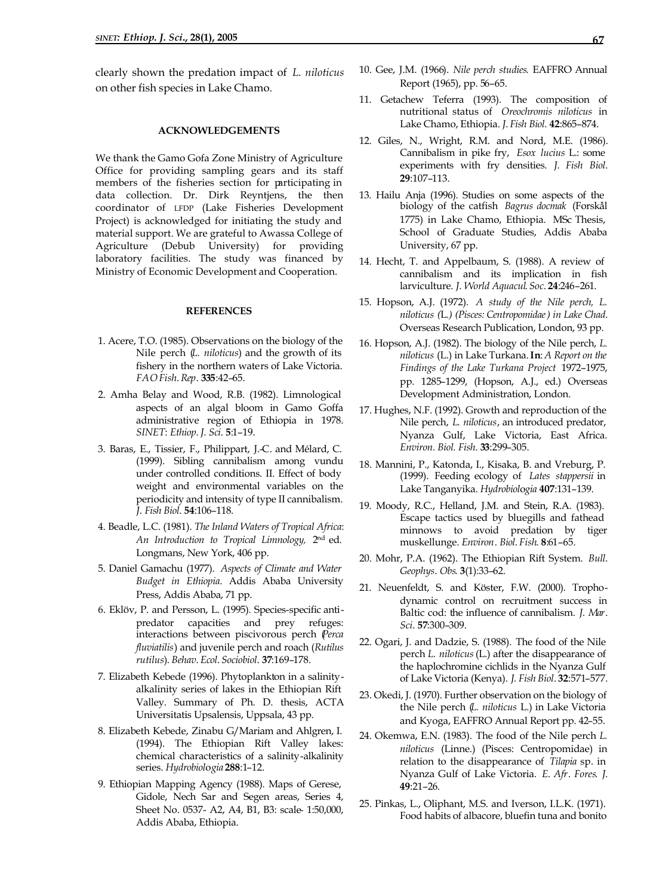clearly shown the predation impact of *L*. *niloticus* on other fish species in Lake Chamo.

#### **ACKNOWLEDGEMENTS**

We thank the Gamo Gofa Zone Ministry of Agriculture Office for providing sampling gears and its staff members of the fisheries section for participating in data collection. Dr. Dirk Reyntjens, the then coordinator of LFDP (Lake Fisheries Development Project) is acknowledged for initiating the study and material support. We are grateful to Awassa College of Agriculture (Debub University) for providing laboratory facilities. The study was financed by Ministry of Economic Development and Cooperation.

# **REFERENCES**

- 1. Acere, T.O. (1985). Observations on the biology of the Nile perch (*L. niloticus*) and the growth of its fishery in the northern waters of Lake Victoria. *FAO Fish*. *Rep*. **335**:42–65.
- 2. Amha Belay and Wood, R.B. (1982). Limnological aspects of an algal bloom in Gamo Goffa administrative region of Ethiopia in 1978. *SINET*: *Ethiop*. *J*. *Sci*. **5**:1–19.
- 3. Baras, E., Tissier, F., Philippart, J.-C. and Mélard, C. (1999). Sibling cannibalism among vundu under controlled conditions. II. Effect of body weight and environmental variables on the periodicity and intensity of type II cannibalism. *J*. *Fish Biol*. **54**:106–118.
- 4. Beadle, L.C. (1981). *The Inland Waters of Tropical Africa*: *An Introduction to Tropical Limnology,* 2nd ed. Longmans, New York, 406 pp.
- 5. Daniel Gamachu (1977). *Aspects of Climate and Water Budget in Ethiopia*. Addis Ababa University Press, Addis Ababa, 71 pp.
- 6. Eklöv, P. and Persson, L. (1995). Species-specific antipredator capacities and prey refuges: interactions between piscivorous perch (*Perca fluviatilis*) and juvenile perch and roach (*Rutilus rutilus*). *Behav*. *Ecol*. *Sociobiol*. **37**:169–178.
- 7. Elizabeth Kebede (1996). Phytoplankton in a salinityalkalinity series of lakes in the Ethiopian Rift Valley. Summary of Ph. D. thesis, ACTA Universitatis Upsalensis, Uppsala, 43 pp.
- 8. Elizabeth Kebede, Zinabu G/Mariam and Ahlgren, I. (1994). The Ethiopian Rift Valley lakes: chemical characteristics of a salinity-alkalinity series. *Hydrobiol*o*gia* **288**:1–12.
- 9. Ethiopian Mapping Agency (1988). Maps of Gerese, Gidole, Nech Sar and Segen areas, Series 4, Sheet No. 0537- A2, A4, B1, B3: scale- 1:50,000, Addis Ababa, Ethiopia.
- 10. Gee, J.M. (1966). *Nile perch studies*. EAFFRO Annual Report (1965), pp. 56–65.
- 11. Getachew Teferra (1993). The composition of nutritional status of *Oreochromis niloticus* in Lake Chamo, Ethiopia. *J*. *Fish Biol*. **42**:865–874.
- 12. Giles, N., Wright, R.M. and Nord, M.E. (1986). Cannibalism in pike fry, *Esox lucius* L.: some experiments with fry densities. *J*. *Fish Biol*. **29**:107–113.
- 13. Hailu Anja (1996). Studies on some aspects of the biology of the catfish *Bagrus docmak* (Forskål 1775) in Lake Chamo, Ethiopia. MSc Thesis, School of Graduate Studies, Addis Ababa University, 67 pp.
- 14. Hecht, T. and Appelbaum, S. (1988). A review of cannibalism and its implication in fish larviculture. *J*. *World Aquacul*. *Soc*. **24**:246–261.
- 15. Hopson, A.J. (1972). *A study of the Nile perch, L. niloticus (*L*.) (Pisces: Centropomidae) in Lake Chad*. Overseas Research Publication, London, 93 pp.
- 16. Hopson, A.J. (1982). The biology of the Nile perch, *L. niloticus* (L.) in Lake Turkana. **In**: *A Report on the Findings of the Lake Turkana Project* 1972–1975, pp. 1285–1299, (Hopson, A.J., ed.) Overseas Development Administration, London.
- 17. Hughes, N.F. (1992). Growth and reproduction of the Nile perch, *L. niloticus*, an introduced predator, Nyanza Gulf, Lake Victoria, East Africa. *Environ. Biol. Fish*. **33**:299–305.
- 18. Mannini, P., Katonda, I., Kisaka, B. and Vreburg, P. (1999). Feeding ecology of *Lates stappersii* in Lake Tanganyika. *Hydrobiol*o*gia* **407**:131–139.
- 19. Moody, R.C., Helland, J.M. and Stein, R.A. (1983). Escape tactics used by bluegills and fathead minnows to avoid predation by tiger muskellunge. *Environ*. *Biol*. *Fish*. **8**:61–65.
- 20. Mohr, P.A. (1962). The Ethiopian Rift System. *Bull*. *Geophys*. *Obs*. **3**(1):33–62.
- 21. Neuenfeldt, S. and Köster, F.W. (2000). Trophodynamic control on recruitment success in Baltic cod: the influence of cannibalism. *J*. *Mar*. *Sci*. **57**:300–309.
- 22. Ogari, J. and Dadzie, S. (1988). The food of the Nile perch *L. niloticus* (L.) after the disappearance of the haplochromine cichlids in the Nyanza Gulf of Lake Victoria (Kenya). *J. Fish Biol*. **32**:571–577.
- 23. Okedi, J. (1970). Further observation on the biology of the Nile perch (*L. niloticus* L.) in Lake Victoria and Kyoga, EAFFRO Annual Report pp. 42–55.
- 24. Okemwa, E.N. (1983). The food of the Nile perch *L. niloticus* (Linne.) (Pisces: Centropomidae) in relation to the disappearance of *Tilapia* sp. in Nyanza Gulf of Lake Victoria. *E*. *Afr*. *Fores*. *J*. **49**:21–26.
- 25. Pinkas, L., Oliphant, M.S. and Iverson, I.L.K. (1971). Food habits of albacore, bluefin tuna and bonito